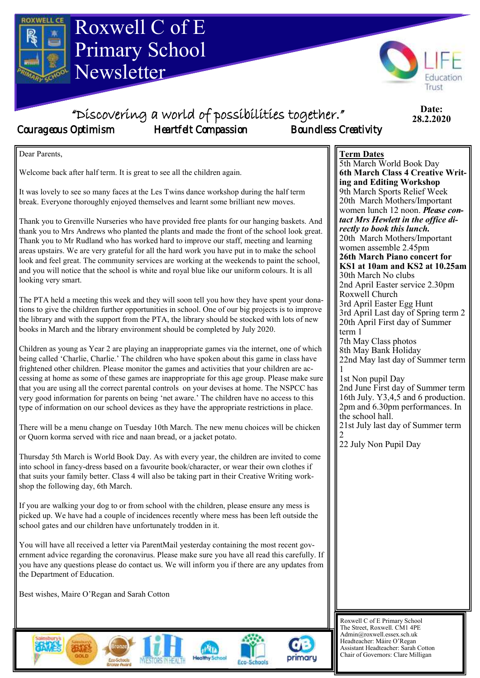

ernment advice regarding the coronavirus. Please make sure you have all read this carefully. If you have any questions please do contact us. We will inform you if there are any updates from the Department of Education.

Best wishes, Maire O'Regan and Sarah Cotton